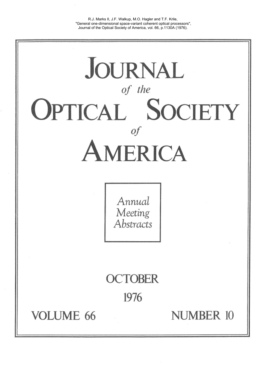R.J. Marks II, J.F. Walkup, M.O. Hagler and T.F. Krile, "General one-dimensional space-variant coherent optical processors", Journal of the Optical Society of America, vol. 66, p.1130A (1976).